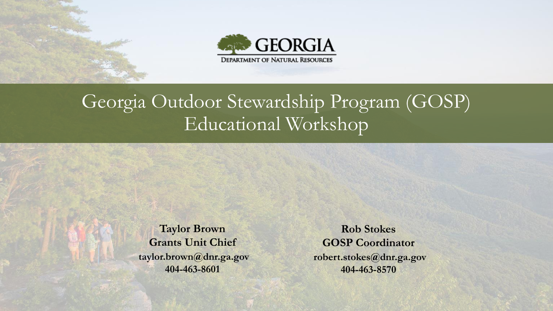



### Georgia Outdoor Stewardship Program (GOSP) Educational Workshop

**Taylor Brown Grants Unit Chief taylor.brown@dnr.ga.gov 404-463-8601**

**Rob Stokes GOSP Coordinator robert.stokes@dnr.ga.gov 404-463-8570**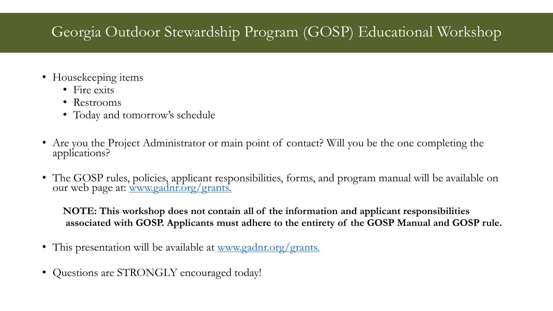#### Georgia Outdoor Stewardship Program (GOSP) Educational Workshop

- Housekeeping items
	- Fire exits
	- Restrooms
	- Today and tomorrow's schedule
- Are you the Project Administrator or main point of contact? Will you be the one completing the applications?
- The GOSP rules, policies, applicant responsibilities, forms, and program manual will be available on our web page at: [www.gadnr.org/grants](http://www.gadnr.org/grants).

**NOTE: This workshop does not contain all of the information and applicant responsibilities associated with GOSP. Applicants must adhere to the entirety of the GOSP Manual and GOSP rule.**

- This presentation will be available at <u>www.gadnr.org/grants.</u>
- Questions are STRONGLY encouraged today!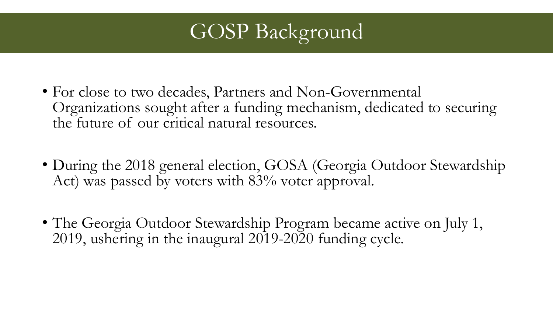

- For close to two decades, Partners and Non-Governmental Organizations sought after a funding mechanism, dedicated to securing the future of our critical natural resources.
- During the 2018 general election, GOSA (Georgia Outdoor Stewardship Act) was passed by voters with 83% voter approval.
- The Georgia Outdoor Stewardship Program became active on July 1, 2019, ushering in the inaugural 2019-2020 funding cycle.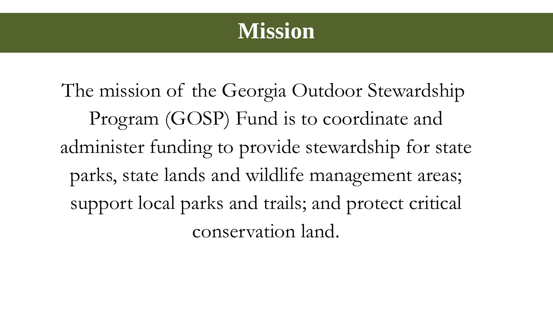

The mission of the Georgia Outdoor Stewardship Program (GOSP) Fund is to coordinate and administer funding to provide stewardship for state parks, state lands and wildlife management areas; support local parks and trails; and protect critical conservation land.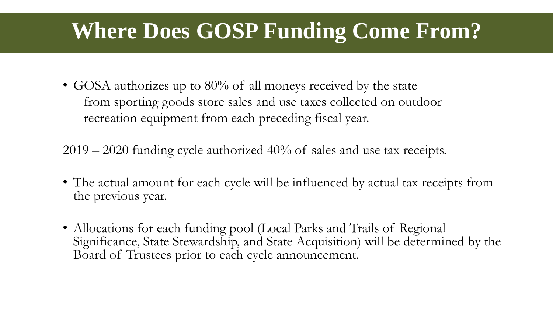## **Where Does GOSP Funding Come From?**

• GOSA authorizes up to 80% of all moneys received by the state from sporting goods store sales and use taxes collected on outdoor recreation equipment from each preceding fiscal year.

2019 – 2020 funding cycle authorized 40% of sales and use tax receipts.

- The actual amount for each cycle will be influenced by actual tax receipts from the previous year.
- Allocations for each funding pool (Local Parks and Trails of Regional Significance, State Stewardship, and State Acquisition) will be determined by the Board of Trustees prior to each cycle announcement.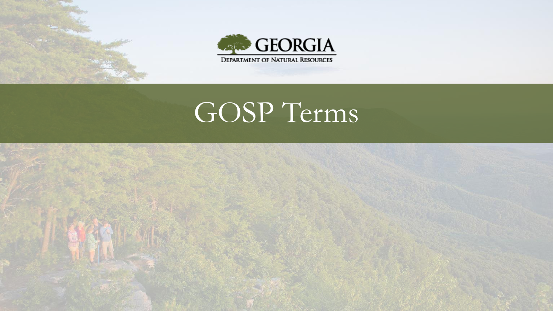



# GOSP Terms

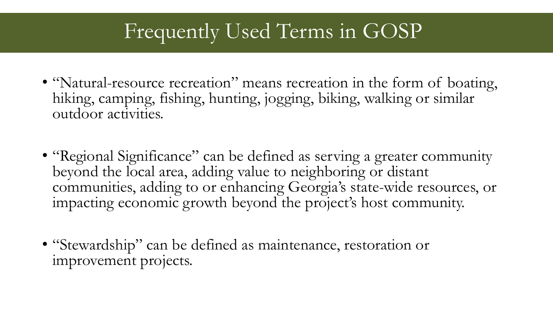### Frequently Used Terms in GOSP

- "Natural-resource recreation" means recreation in the form of boating, hiking, camping, fishing, hunting, jogging, biking, walking or similar outdoor activities.
- "Regional Significance" can be defined as serving a greater community beyond the local area, adding value to neighboring or distant communities, adding to or enhancing Georgia's state-wide resources, or impacting economic growth beyond the project's host community.
- "Stewardship" can be defined as maintenance, restoration or improvement projects.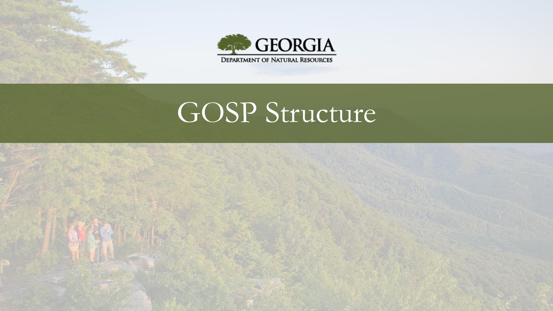



# GOSP Structure

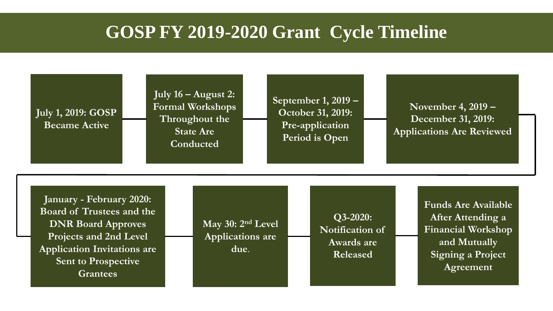#### **GOSP FY 2019-2020 Grant Cycle Timeline**

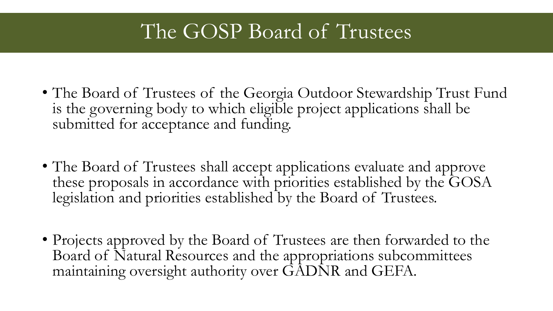### The GOSP Board of Trustees

- The Board of Trustees of the Georgia Outdoor Stewardship Trust Fund is the governing body to which eligible project applications shall be submitted for acceptance and funding.
- The Board of Trustees shall accept applications evaluate and approve these proposals in accordance with priorities established by the GOSA legislation and priorities established by the Board of Trustees.
- Projects approved by the Board of Trustees are then forwarded to the Board of Natural Resources and the appropriations subcommittees maintaining oversight authority over GADNR and GEFA.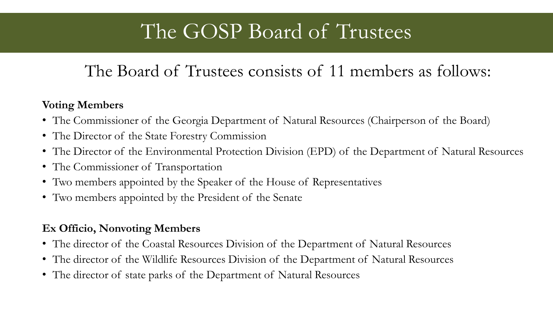### The GOSP Board of Trustees

#### The Board of Trustees consists of 11 members as follows:

#### **Voting Members**

- The Commissioner of the Georgia Department of Natural Resources (Chairperson of the Board)
- The Director of the State Forestry Commission
- The Director of the Environmental Protection Division (EPD) of the Department of Natural Resources
- The Commissioner of Transportation
- Two members appointed by the Speaker of the House of Representatives
- Two members appointed by the President of the Senate

#### **Ex Officio, Nonvoting Members**

- The director of the Coastal Resources Division of the Department of Natural Resources
- The director of the Wildlife Resources Division of the Department of Natural Resources
- The director of state parks of the Department of Natural Resources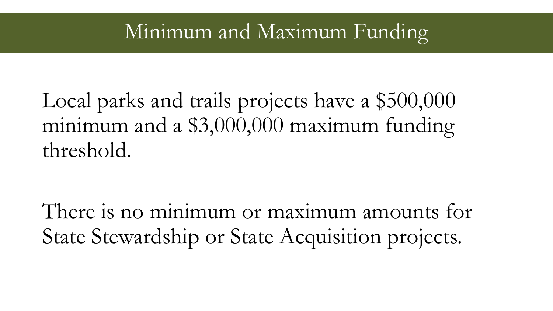### Minimum and Maximum Funding

### Local parks and trails projects have a \$500,000 minimum and a \$3,000,000 maximum funding threshold.

There is no minimum or maximum amounts for State Stewardship or State Acquisition projects.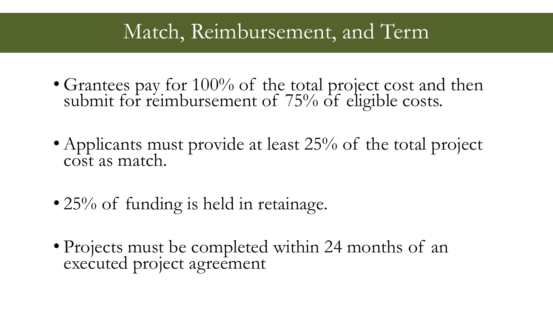### Match, Reimbursement, and Term

- Grantees pay for 100% of the total project cost and then submit for reimbursement of  $75%$  of eligible costs.
- Applicants must provide at least 25% of the total project cost as match.
- 25% of funding is held in retainage.
- Projects must be completed within 24 months of an executed project agreement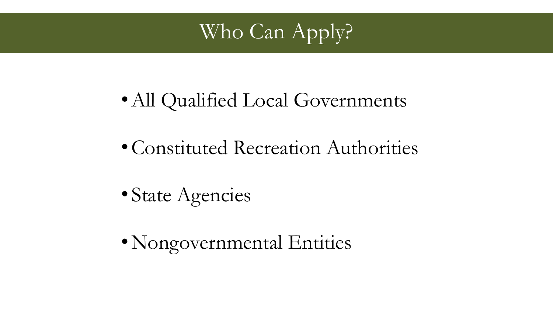

- •All Qualified Local Governments
- •Constituted Recreation Authorities
- State Agencies
- Nongovernmental Entities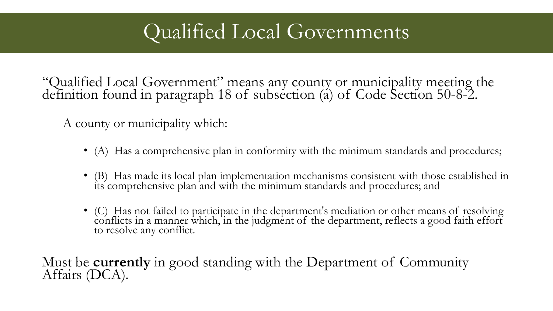### Qualified Local Governments

"Qualified Local Government" means any county or municipality meeting the definition found in paragraph 18 of subsection (a) of Code Section 50-8-2.

A county or municipality which:

- (A) Has a comprehensive plan in conformity with the minimum standards and procedures;
- (B) Has made its local plan implementation mechanisms consistent with those established in  $\hat{\mathrm{d}}$ ts comprehensive plan and with the minimum standards and procedures; and
- (C) Has not failed to participate in the department's mediation or other means of resolving conflicts in a manner which, in the judgment of the department, reflects a good faith effort to resolve any conflict.

Must be **currently** in good standing with the Department of Community Affairs (DCA).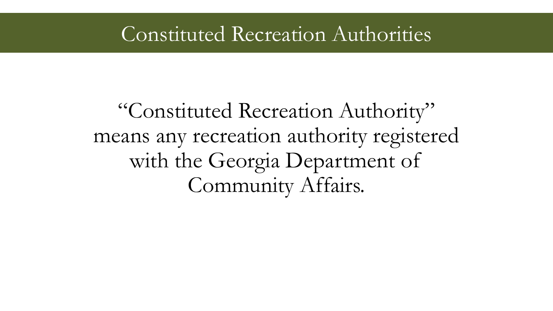### Constituted Recreation Authorities

### "Constituted Recreation Authority" means any recreation authority registered with the Georgia Department of Community Affairs.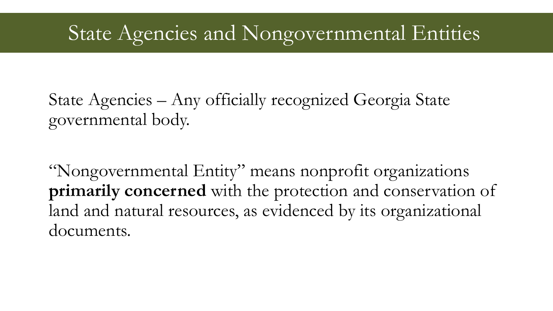### State Agencies and Nongovernmental Entities

State Agencies – Any officially recognized Georgia State governmental body.

"Nongovernmental Entity" means nonprofit organizations **primarily concerned** with the protection and conservation of land and natural resources, as evidenced by its organizational documents.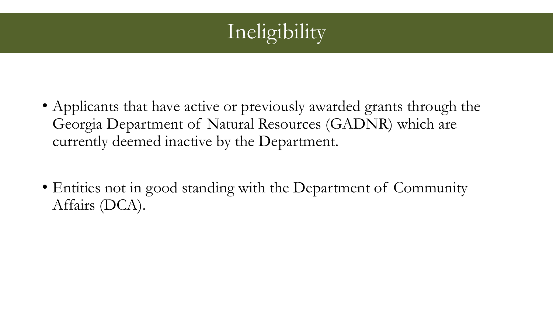

- Applicants that have active or previously awarded grants through the Georgia Department of Natural Resources (GADNR) which are currently deemed inactive by the Department.
- Entities not in good standing with the Department of Community Affairs (DCA).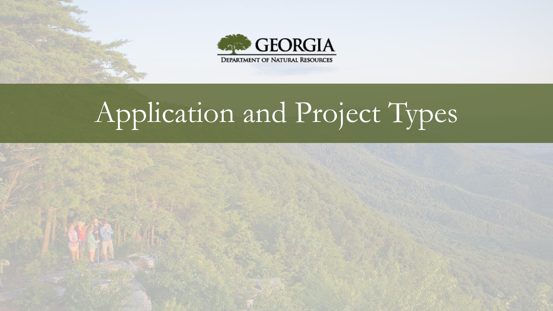



# Application and Project Types

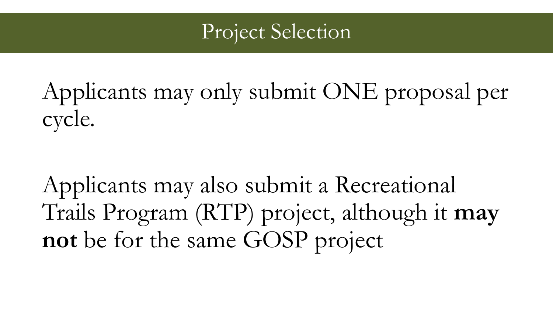### Project Selection

Applicants may only submit ONE proposal per cycle.

Applicants may also submit a Recreational Trails Program (RTP) project, although it **may not** be for the same GOSP project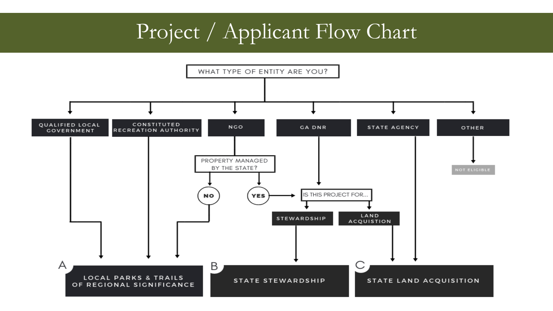### Project / Applicant Flow Chart

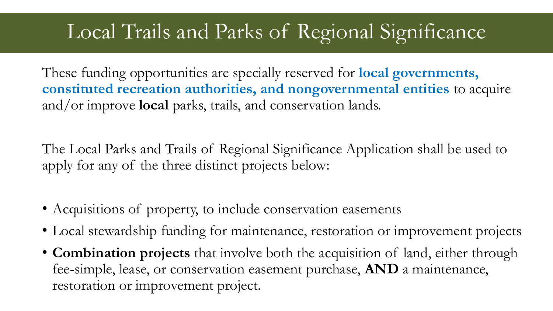### Local Trails and Parks of Regional Significance

These funding opportunities are specially reserved for **local governments, constituted recreation authorities, and nongovernmental entities** to acquire and/or improve **local** parks, trails, and conservation lands.

The Local Parks and Trails of Regional Significance Application shall be used to apply for any of the three distinct projects below:

- Acquisitions of property, to include conservation easements
- Local stewardship funding for maintenance, restoration or improvement projects
- **Combination projects** that involve both the acquisition of land, either through fee-simple, lease, or conservation easement purchase, **AND** a maintenance, restoration or improvement project.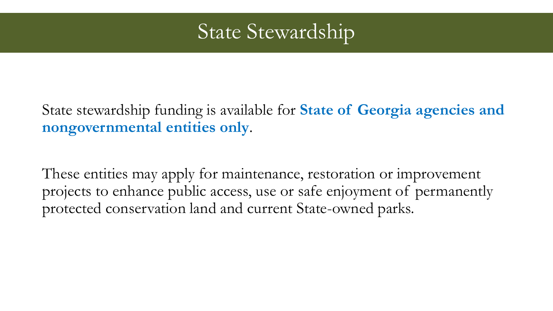### State Stewardship

State stewardship funding is available for **State of Georgia agencies and nongovernmental entities only**.

These entities may apply for maintenance, restoration or improvement projects to enhance public access, use or safe enjoyment of permanently protected conservation land and current State-owned parks.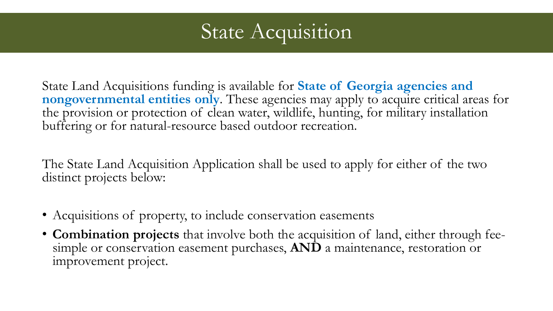

State Land Acquisitions funding is available for **State of Georgia agencies and nongovernmental entities only**. These agencies may apply to acquire critical areas for the provision or protection of clean water, wildlife, hunting, for military installation buffering or for natural-resource based outdoor recreation.

The State Land Acquisition Application shall be used to apply for either of the two distinct projects below:

- Acquisitions of property, to include conservation easements
- **Combination projects** that involve both the acquisition of land, either through feesimple or conservation easement purchases, **AND** a maintenance, restoration or improvement project.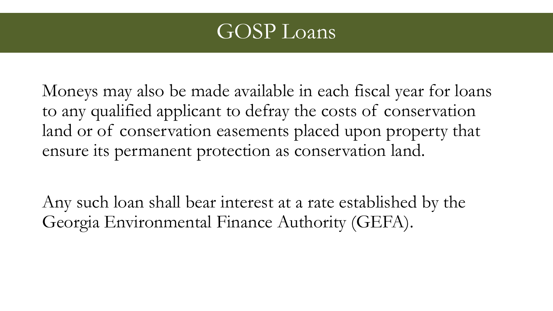

Moneys may also be made available in each fiscal year for loans to any qualified applicant to defray the costs of conservation land or of conservation easements placed upon property that ensure its permanent protection as conservation land.

Any such loan shall bear interest at a rate established by the Georgia Environmental Finance Authority (GEFA).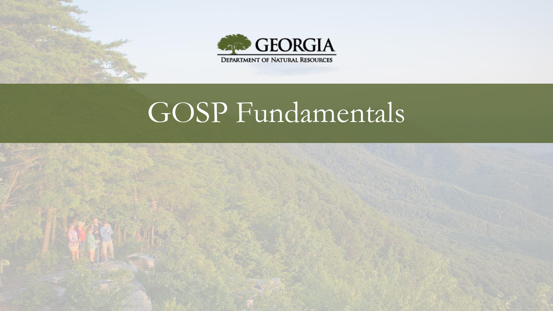



# GOSP Fundamentals

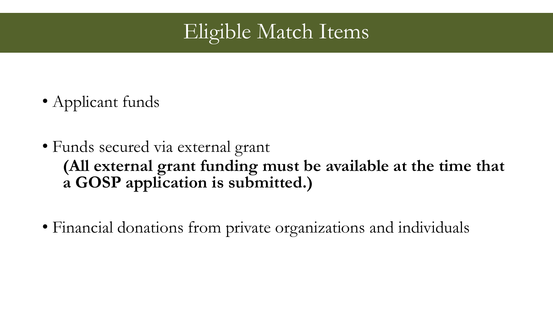

- Applicant funds
- Funds secured via external grant **(All external grant funding must be available at the time that a GOSP application is submitted.)**
- Financial donations from private organizations and individuals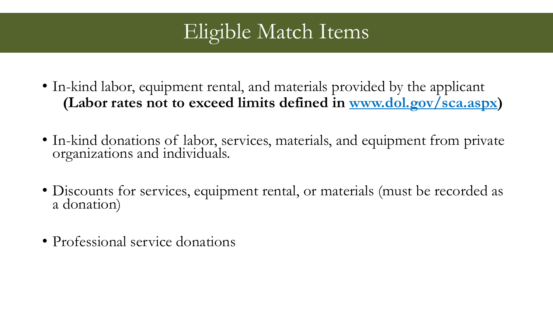### Eligible Match Items

- In-kind labor, equipment rental, and materials provided by the applicant **(Labor rates not to exceed limits defined in www.dol.gov/sca.aspx)**
- In-kind donations of labor, services, materials, and equipment from private organizations and individuals.
- Discounts for services, equipment rental, or materials (must be recorded as a donation)
- Professional service donations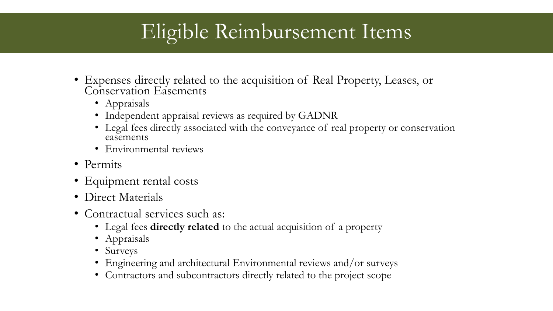### Eligible Reimbursement Items

- Expenses directly related to the acquisition of Real Property, Leases, or Conservation Easements
	- Appraisals
	- Independent appraisal reviews as required by GADNR
	- Legal fees directly associated with the conveyance of real property or conservation easements
	- Environmental reviews
- Permits
- Equipment rental costs
- Direct Materials
- Contractual services such as:
	- Legal fees **directly related** to the actual acquisition of a property
	- Appraisals
	- Surveys
	- Engineering and architectural Environmental reviews and/or surveys
	- Contractors and subcontractors directly related to the project scope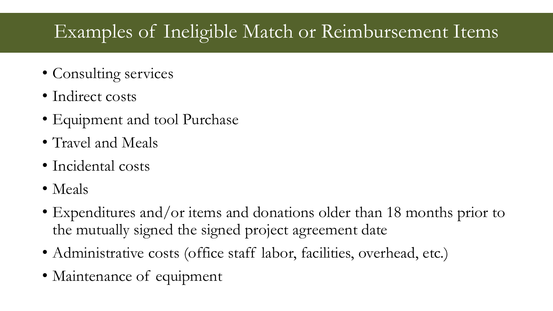### Examples of Ineligible Match or Reimbursement Items

- Consulting services
- Indirect costs
- Equipment and tool Purchase
- Travel and Meals
- Incidental costs
- Meals
- Expenditures and/or items and donations older than 18 months prior to the mutually signed the signed project agreement date
- Administrative costs (office staff labor, facilities, overhead, etc.)
- Maintenance of equipment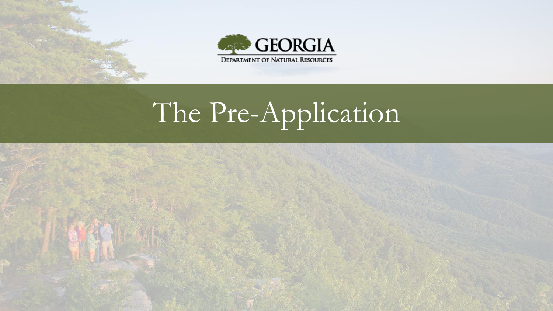



# The Pre-Application

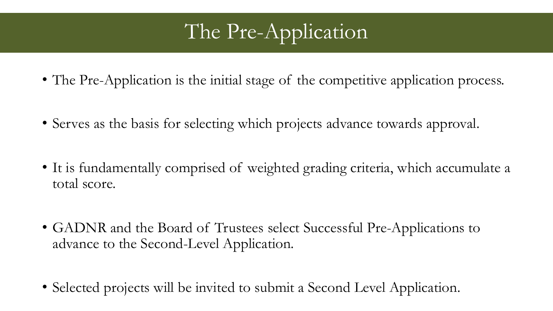## The Pre-Application

- The Pre-Application is the initial stage of the competitive application process.
- Serves as the basis for selecting which projects advance towards approval.
- It is fundamentally comprised of weighted grading criteria, which accumulate a total score.
- GADNR and the Board of Trustees select Successful Pre-Applications to advance to the Second-Level Application.
- Selected projects will be invited to submit a Second Level Application.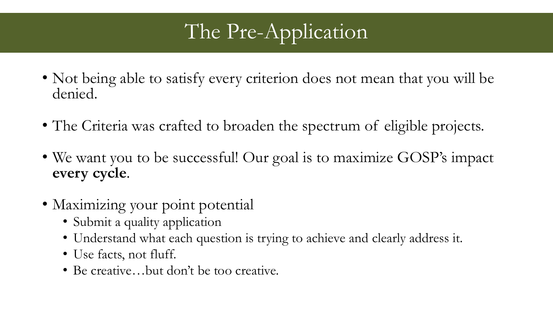## The Pre-Application

- Not being able to satisfy every criterion does not mean that you will be denied.
- The Criteria was crafted to broaden the spectrum of eligible projects.
- We want you to be successful! Our goal is to maximize GOSP's impact **every cycle**.
- Maximizing your point potential
	- Submit a quality application
	- Understand what each question is trying to achieve and clearly address it.
	- Use facts, not fluff.
	- Be creative...but don't be too creative.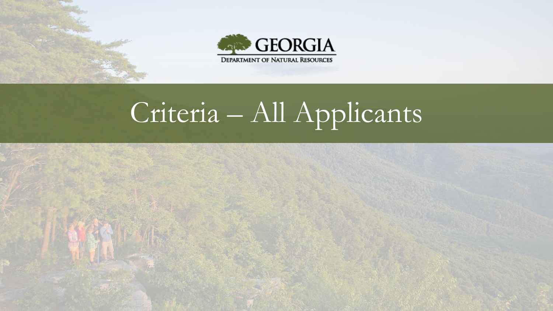



# Criteria – All Applicants

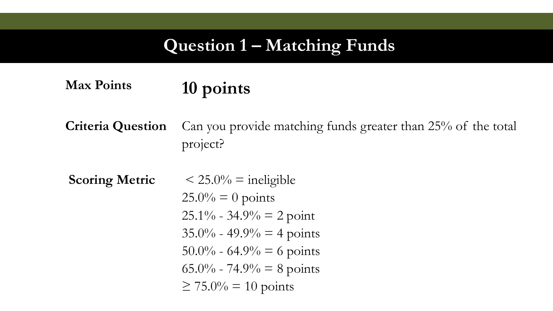#### **Question 1 – Matching Funds**

### **Max Points 10 points**

**Criteria Question** Can you provide matching funds greater than 25% of the total project?

**Scoring Metric**  $\leq 25.0\%$  = ineligible  $25.0\% = 0$  points  $25.1\% - 34.9\% = 2$  point  $35.0\% - 49.9\% = 4$  points  $50.0\% - 64.9\% = 6$  points 65.0% - 74.9% = 8 points  $\geq 75.0\% = 10$  points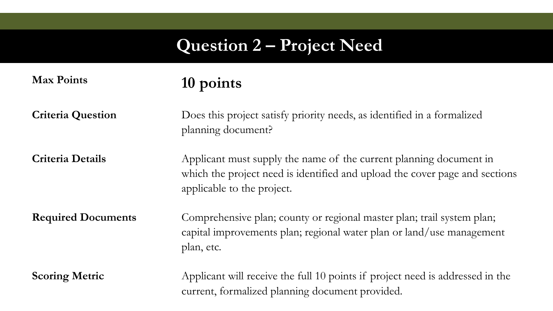### **Question 2 – Project Need**

| <b>Max Points</b>         | 10 points                                                                                                                                                                       |
|---------------------------|---------------------------------------------------------------------------------------------------------------------------------------------------------------------------------|
| <b>Criteria Question</b>  | Does this project satisfy priority needs, as identified in a formalized<br>planning document?                                                                                   |
| <b>Criteria Details</b>   | Applicant must supply the name of the current planning document in<br>which the project need is identified and upload the cover page and sections<br>applicable to the project. |
| <b>Required Documents</b> | Comprehensive plan; county or regional master plan; trail system plan;<br>capital improvements plan; regional water plan or land/use management<br>plan, etc.                   |
| <b>Scoring Metric</b>     | Applicant will receive the full 10 points if project need is addressed in the<br>current, formalized planning document provided.                                                |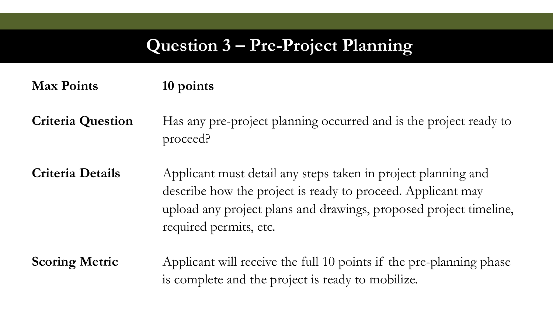#### **Question 3 – Pre-Project Planning**

#### **Max Points 10 points**

**Criteria Question** Has any pre-project planning occurred and is the project ready to proceed?

**Criteria Details** Applicant must detail any steps taken in project planning and describe how the project is ready to proceed. Applicant may upload any project plans and drawings, proposed project timeline, required permits, etc.

**Scoring Metric** Applicant will receive the full 10 points if the pre-planning phase is complete and the project is ready to mobilize.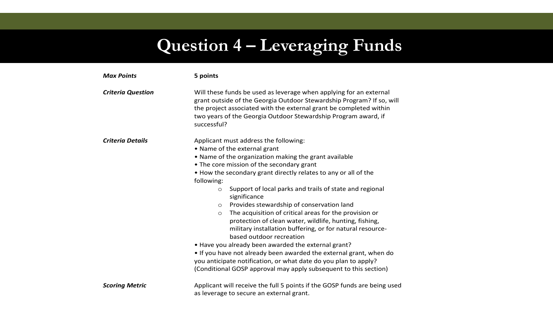## **Question 4 – Leveraging Funds**

| <b>Max Points</b>        | 5 points                                                                                                                                                                                                                                                                                                                                                                                                                                                                                                                                                                                                                                                                                                                                                                                                                                                                                               |  |  |  |  |
|--------------------------|--------------------------------------------------------------------------------------------------------------------------------------------------------------------------------------------------------------------------------------------------------------------------------------------------------------------------------------------------------------------------------------------------------------------------------------------------------------------------------------------------------------------------------------------------------------------------------------------------------------------------------------------------------------------------------------------------------------------------------------------------------------------------------------------------------------------------------------------------------------------------------------------------------|--|--|--|--|
| <b>Criteria Question</b> | Will these funds be used as leverage when applying for an external<br>grant outside of the Georgia Outdoor Stewardship Program? If so, will<br>the project associated with the external grant be completed within<br>two years of the Georgia Outdoor Stewardship Program award, if<br>successful?                                                                                                                                                                                                                                                                                                                                                                                                                                                                                                                                                                                                     |  |  |  |  |
| <b>Criteria Details</b>  | Applicant must address the following:<br>• Name of the external grant<br>. Name of the organization making the grant available<br>• The core mission of the secondary grant<br>. How the secondary grant directly relates to any or all of the<br>following:<br>Support of local parks and trails of state and regional<br>$\circ$<br>significance<br>Provides stewardship of conservation land<br>$\circ$<br>The acquisition of critical areas for the provision or<br>$\circ$<br>protection of clean water, wildlife, hunting, fishing,<br>military installation buffering, or for natural resource-<br>based outdoor recreation<br>. Have you already been awarded the external grant?<br>• If you have not already been awarded the external grant, when do<br>you anticipate notification, or what date do you plan to apply?<br>(Conditional GOSP approval may apply subsequent to this section) |  |  |  |  |
| <b>Scoring Metric</b>    | Applicant will receive the full 5 points if the GOSP funds are being used<br>as leverage to secure an external grant.                                                                                                                                                                                                                                                                                                                                                                                                                                                                                                                                                                                                                                                                                                                                                                                  |  |  |  |  |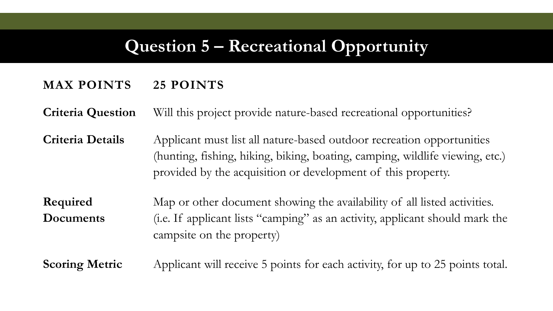#### **Question 5 – Recreational Opportunity**

#### **MAX POINTS 25 POINTS**

**Criteria Question** Will this project provide nature-based recreational opportunities?

**Criteria Details** Applicant must list all nature-based outdoor recreation opportunities (hunting, fishing, hiking, biking, boating, camping, wildlife viewing, etc.) provided by the acquisition or development of this property.

**Required Documents** Map or other document showing the availability of all listed activities. (i.e. If applicant lists "camping" as an activity, applicant should mark the campsite on the property)

**Scoring Metric** Applicant will receive 5 points for each activity, for up to 25 points total.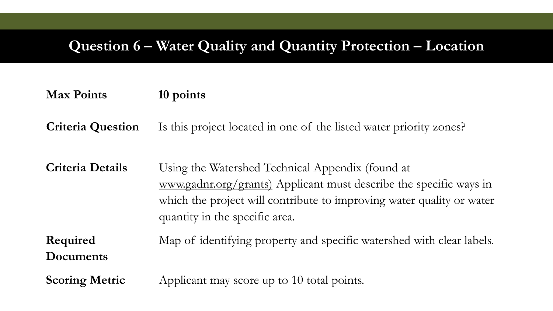#### **Question 6 – Water Quality and Quantity Protection – Location**

| <b>Max Points</b> | 10 points |
|-------------------|-----------|
|-------------------|-----------|

**Criteria Question** Is this project located in one of the listed water priority zones?

**Criteria Details** Using the Watershed Technical Appendix (found at [www.gadnr.org/grants\)](file:///C:/Users/rstokes1/AppData/Local/Microsoft/Windows/INetCache/Content.Outlook/N5H5NUHJ/www.gadnr.org/grants)) Applicant must describe the specific ways in which the project will contribute to improving water quality or water quantity in the specific area.

**Required Documents** Map of identifying property and specific watershed with clear labels.

**Scoring Metric** Applicant may score up to 10 total points.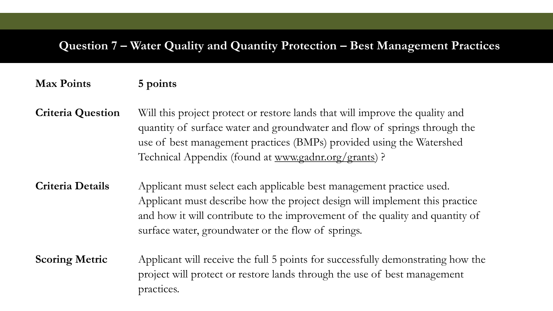#### **Question 7 – Water Quality and Quantity Protection – Best Management Practices**

#### **Max Points 5 points**

**Criteria Question** Will this project protect or restore lands that will improve the quality and quantity of surface water and groundwater and flow of springs through the use of best management practices (BMPs) provided using the Watershed Technical Appendix (found at [www.gadnr.org/grants\)](file:///C:/Users/rstokes1/AppData/Local/Microsoft/Windows/INetCache/Content.Outlook/N5H5NUHJ/www.gadnr.org/grants) ?

**Criteria Details** Applicant must select each applicable best management practice used. Applicant must describe how the project design will implement this practice and how it will contribute to the improvement of the quality and quantity of surface water, groundwater or the flow of springs.

**Scoring Metric** Applicant will receive the full 5 points for successfully demonstrating how the project will protect or restore lands through the use of best management practices.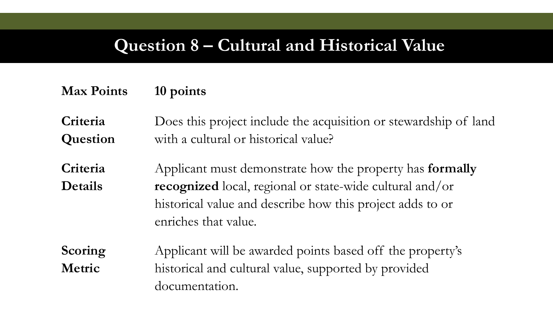#### **Question 8 – Cultural and Historical Value**

#### **Max Points 10 points**

**Criteria Question** Does this project include the acquisition or stewardship of land with a cultural or historical value?

**Criteria Details** Applicant must demonstrate how the property has **formally recognized** local, regional or state-wide cultural and/or historical value and describe how this project adds to or enriches that value.

**Scoring Metric** Applicant will be awarded points based off the property's historical and cultural value, supported by provided documentation.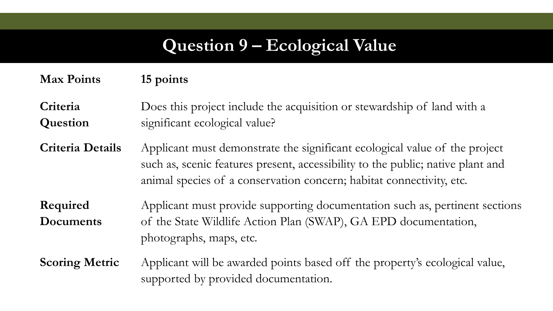#### **Question 9 – Ecological Value**

#### **Max Points 15 points**

**Criteria Question** Does this project include the acquisition or stewardship of land with a significant ecological value?

**Criteria Details** Applicant must demonstrate the significant ecological value of the project such as, scenic features present, accessibility to the public; native plant and animal species of a conservation concern; habitat connectivity, etc.

**Required Documents** Applicant must provide supporting documentation such as, pertinent sections of the State Wildlife Action Plan (SWAP), GA EPD documentation, photographs, maps, etc.

**Scoring Metric** Applicant will be awarded points based off the property's ecological value, supported by provided documentation.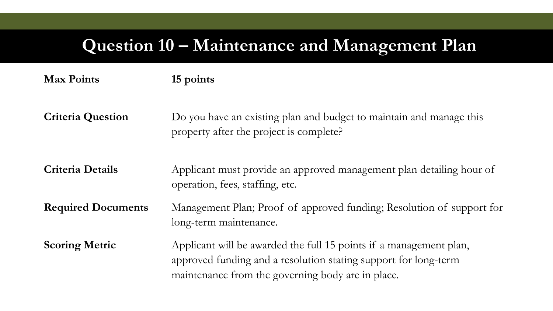#### **Question 10 – Maintenance and Management Plan**

| <b>Max Points</b>         | 15 points                                                                                                                                                                                  |
|---------------------------|--------------------------------------------------------------------------------------------------------------------------------------------------------------------------------------------|
| <b>Criteria Question</b>  | Do you have an existing plan and budget to maintain and manage this<br>property after the project is complete?                                                                             |
| <b>Criteria Details</b>   | Applicant must provide an approved management plan detailing hour of<br>operation, fees, staffing, etc.                                                                                    |
| <b>Required Documents</b> | Management Plan; Proof of approved funding; Resolution of support for<br>long-term maintenance.                                                                                            |
| <b>Scoring Metric</b>     | Applicant will be awarded the full 15 points if a management plan,<br>approved funding and a resolution stating support for long-term<br>maintenance from the governing body are in place. |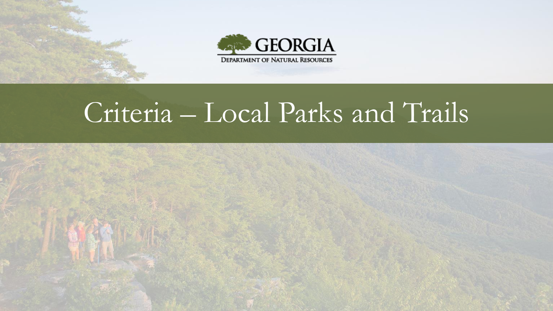



# Criteria – Local Parks and Trails

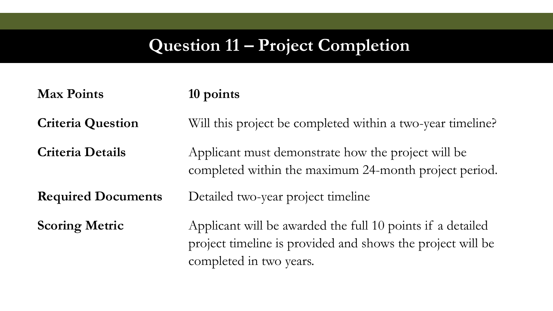## **Question 11 – Project Completion**

| <b>Max Points</b>         | 10 points                                                                                                                                           |  |  |  |
|---------------------------|-----------------------------------------------------------------------------------------------------------------------------------------------------|--|--|--|
| <b>Criteria Question</b>  | Will this project be completed within a two-year timeline?                                                                                          |  |  |  |
| <b>Criteria Details</b>   | Applicant must demonstrate how the project will be<br>completed within the maximum 24-month project period.                                         |  |  |  |
| <b>Required Documents</b> | Detailed two-year project timeline                                                                                                                  |  |  |  |
| <b>Scoring Metric</b>     | Applicant will be awarded the full 10 points if a detailed<br>project timeline is provided and shows the project will be<br>completed in two years. |  |  |  |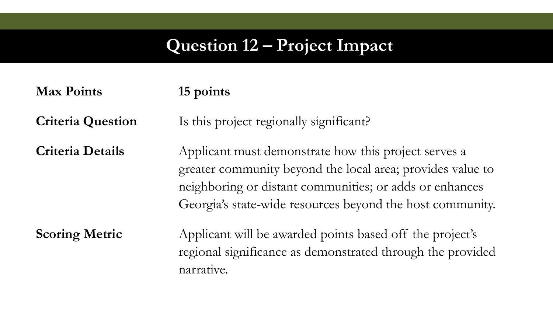#### **Question 12 – Project Impact**

**Max Points 15 points Criteria Question** Is this project regionally significant? **Criteria Details** Applicant must demonstrate how this project serves a greater community beyond the local area; provides value to neighboring or distant communities; or adds or enhances Georgia's state-wide resources beyond the host community. **Scoring Metric** Applicant will be awarded points based off the project's regional significance as demonstrated through the provided

narrative.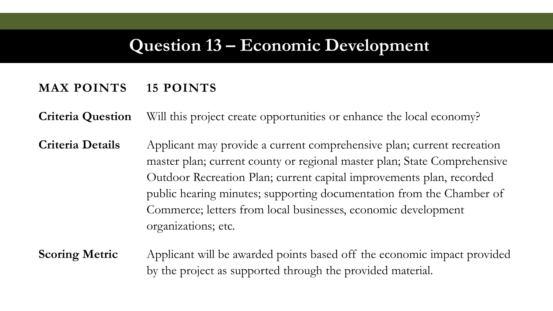#### **Question 13 – Economic Development**

#### **MAX POINTS 15 POINTS**

**Criteria Question** Will this project create opportunities or enhance the local economy?

**Criteria Details** Applicant may provide a current comprehensive plan; current recreation master plan; current county or regional master plan; State Comprehensive Outdoor Recreation Plan; current capital improvements plan, recorded public hearing minutes; supporting documentation from the Chamber of Commerce; letters from local businesses, economic development organizations; etc.

**Scoring Metric** Applicant will be awarded points based off the economic impact provided by the project as supported through the provided material.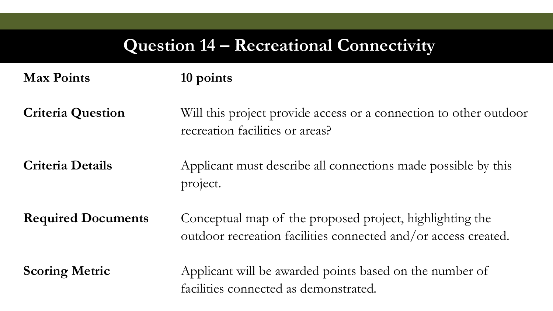### **Question 14 – Recreational Connectivity**

| <b>Max Points</b>         | 10 points                                                                                                                  |
|---------------------------|----------------------------------------------------------------------------------------------------------------------------|
| <b>Criteria Question</b>  | Will this project provide access or a connection to other outdoor<br>recreation facilities or areas?                       |
| <b>Criteria Details</b>   | Applicant must describe all connections made possible by this<br>project.                                                  |
| <b>Required Documents</b> | Conceptual map of the proposed project, highlighting the<br>outdoor recreation facilities connected and/or access created. |
| <b>Scoring Metric</b>     | Applicant will be awarded points based on the number of<br>facilities connected as demonstrated.                           |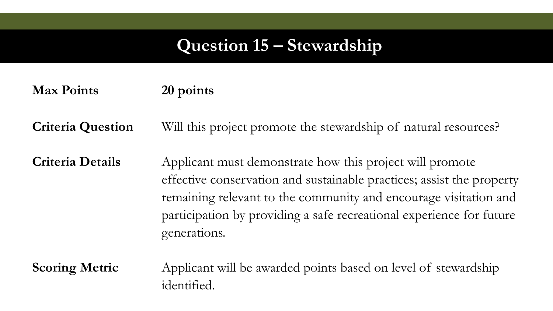#### **Question 15 – Stewardship**

#### **Max Points 20 points**

**Criteria Question** Will this project promote the stewardship of natural resources?

**Criteria Details** Applicant must demonstrate how this project will promote effective conservation and sustainable practices; assist the property remaining relevant to the community and encourage visitation and participation by providing a safe recreational experience for future generations.

**Scoring Metric** Applicant will be awarded points based on level of stewardship identified.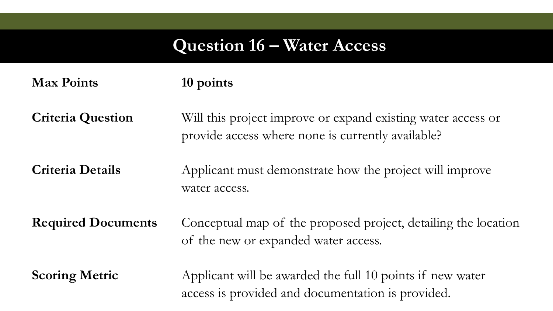### **Question 16 – Water Access**

| <b>Max Points</b>         | 10 points                                                                                                         |
|---------------------------|-------------------------------------------------------------------------------------------------------------------|
| <b>Criteria Question</b>  | Will this project improve or expand existing water access or<br>provide access where none is currently available? |
| <b>Criteria Details</b>   | Applicant must demonstrate how the project will improve<br>water access.                                          |
| <b>Required Documents</b> | Conceptual map of the proposed project, detailing the location<br>of the new or expanded water access.            |
| <b>Scoring Metric</b>     | Applicant will be awarded the full 10 points if new water<br>access is provided and documentation is provided.    |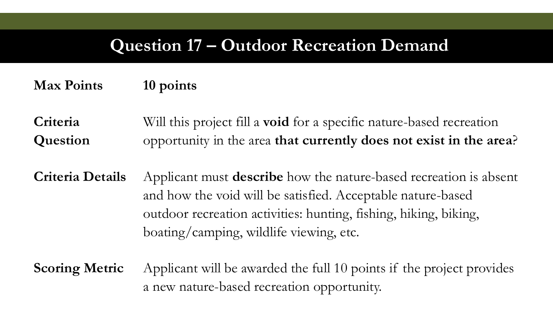#### **Question 17 – Outdoor Recreation Demand**

#### **Max Points 10 points**

**Criteria Question** Will this project fill a **void** for a specific nature-based recreation opportunity in the area **that currently does not exist in the area**?

**Criteria Details** Applicant must **describe** how the nature-based recreation is absent and how the void will be satisfied. Acceptable nature-based outdoor recreation activities: hunting, fishing, hiking, biking, boating/camping, wildlife viewing, etc.

**Scoring Metric** Applicant will be awarded the full 10 points if the project provides a new nature-based recreation opportunity.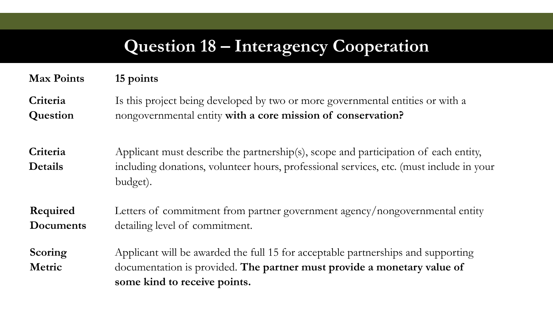#### **Question 18 – Interagency Cooperation**

#### **Max Points 15 points**

**Criteria Question** Is this project being developed by two or more governmental entities or with a nongovernmental entity **with a core mission of conservation?**

**Criteria Details** Applicant must describe the partnership(s), scope and participation of each entity, including donations, volunteer hours, professional services, etc. (must include in your budget).

**Required Documents** Letters of commitment from partner government agency/nongovernmental entity detailing level of commitment.

**Scoring Metric** Applicant will be awarded the full 15 for acceptable partnerships and supporting documentation is provided. **The partner must provide a monetary value of some kind to receive points.**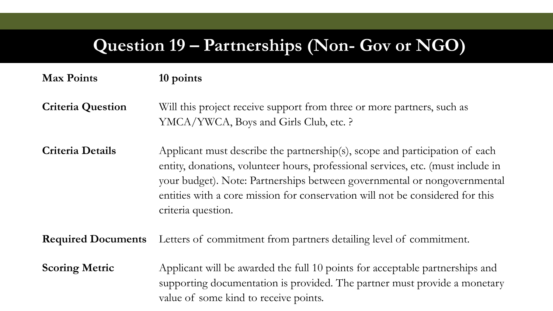#### **Question 19 – Partnerships (Non- Gov or NGO)**

#### **Max Points 10 points Criteria Question** Will this project receive support from three or more partners, such as YMCA/YWCA, Boys and Girls Club, etc. ? **Criteria Details** Applicant must describe the partnership(s), scope and participation of each entity, donations, volunteer hours, professional services, etc. (must include in your budget). Note: Partnerships between governmental or nongovernmental entities with a core mission for conservation will not be considered for this criteria question.

**Required Documents** Letters of commitment from partners detailing level of commitment.

**Scoring Metric** Applicant will be awarded the full 10 points for acceptable partnerships and supporting documentation is provided. The partner must provide a monetary value of some kind to receive points.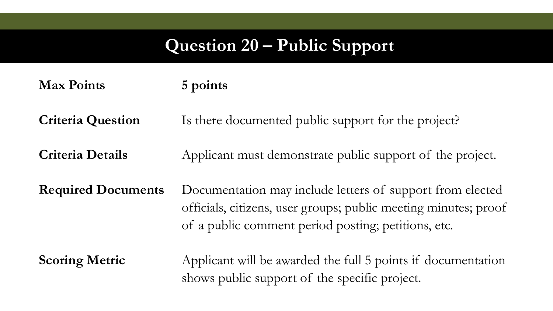#### **Question 20 – Public Support**

| <b>Max Points</b> | 5 points |
|-------------------|----------|
|-------------------|----------|

**Criteria Question** Is there documented public support for the project?

**Criteria Details** Applicant must demonstrate public support of the project.

**Required Documents** Documentation may include letters of support from elected officials, citizens, user groups; public meeting minutes; proof of a public comment period posting; petitions, etc.

**Scoring Metric** Applicant will be awarded the full 5 points if documentation shows public support of the specific project.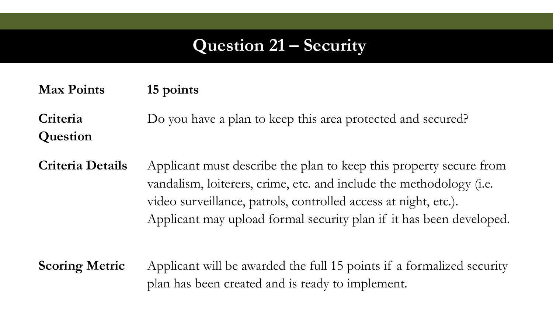#### **Question 21 – Security**

**Max Points 15 points**

**Criteria Question** Do you have a plan to keep this area protected and secured?

**Criteria Details** Applicant must describe the plan to keep this property secure from vandalism, loiterers, crime, etc. and include the methodology (i.e. video surveillance, patrols, controlled access at night, etc.). Applicant may upload formal security plan if it has been developed.

**Scoring Metric** Applicant will be awarded the full 15 points if a formalized security plan has been created and is ready to implement.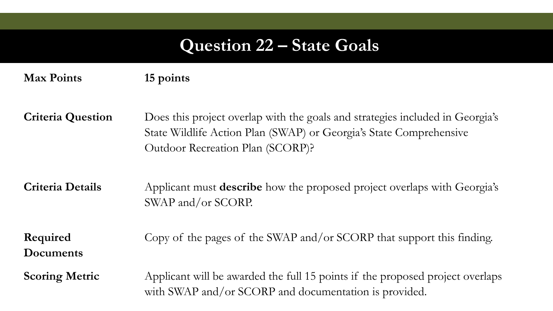#### **Question 22 – State Goals**

**Max Points 15 points**

**Criteria Question** Does this project overlap with the goals and strategies included in Georgia's State Wildlife Action Plan (SWAP) or Georgia's State Comprehensive Outdoor Recreation Plan (SCORP)?

**Criteria Details** Applicant must **describe** how the proposed project overlaps with Georgia's SWAP and/or SCORP.

**Required Documents** Copy of the pages of the SWAP and/or SCORP that support this finding.

**Scoring Metric** Applicant will be awarded the full 15 points if the proposed project overlaps with SWAP and/or SCORP and documentation is provided.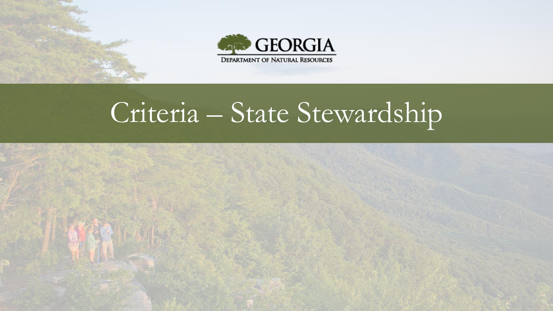

# Criteria – State Stewardship

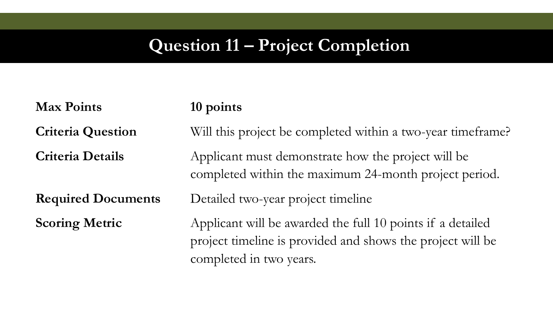#### **Question 11 – Project Completion**

**Max Points 10 points**

**Criteria Question** Will this project be completed within a two-year timeframe?

**Criteria Details** Applicant must demonstrate how the project will be completed within the maximum 24-month project period.

**Required Documents** Detailed two-year project timeline

**Scoring Metric** Applicant will be awarded the full 10 points if a detailed project timeline is provided and shows the project will be completed in two years.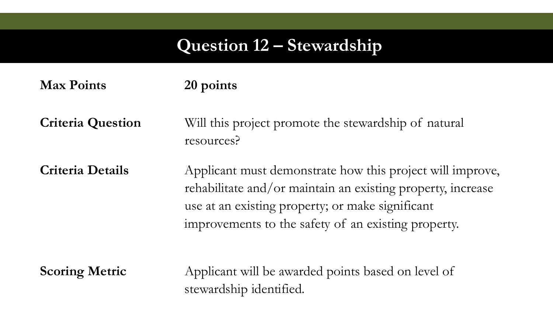#### **Question 12 – Stewardship**

| <b>Max Points</b>        | 20 points                                                                                                                                                                                                                           |
|--------------------------|-------------------------------------------------------------------------------------------------------------------------------------------------------------------------------------------------------------------------------------|
| <b>Criteria Question</b> | Will this project promote the stewardship of natural<br>resources?                                                                                                                                                                  |
| <b>Criteria Details</b>  | Applicant must demonstrate how this project will improve,<br>rehabilitate and/or maintain an existing property, increase<br>use at an existing property; or make significant<br>improvements to the safety of an existing property. |
| <b>Scoring Metric</b>    | Applicant will be awarded points based on level of<br>stewardship identified.                                                                                                                                                       |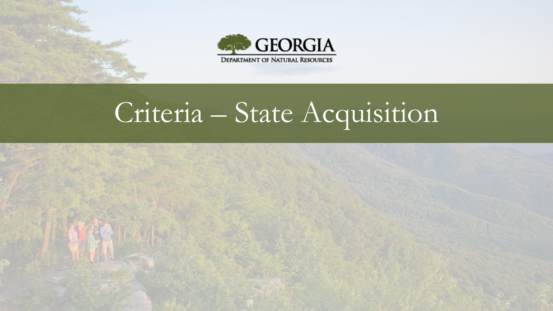



# Criteria – State Acquisition

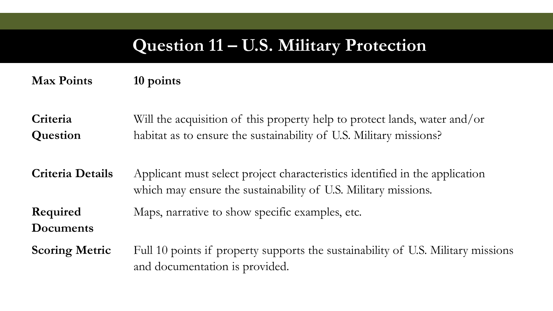#### **Question 11 – U.S. Military Protection**

**Max Points 10 points**

**Criteria Question** Will the acquisition of this property help to protect lands, water and/or habitat as to ensure the sustainability of U.S. Military missions?

**Criteria Details** Applicant must select project characteristics identified in the application which may ensure the sustainability of U.S. Military missions.

**Required**  Maps, narrative to show specific examples, etc.

**Documents**

**Scoring Metric** Full 10 points if property supports the sustainability of U.S. Military missions and documentation is provided.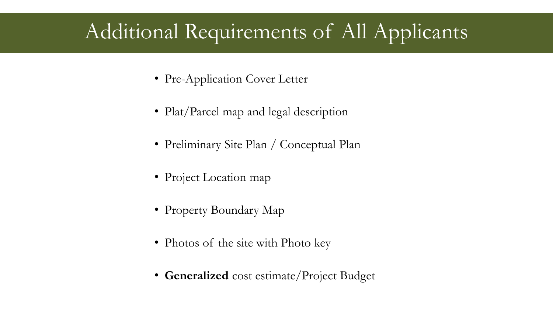# Additional Requirements of All Applicants

- Pre-Application Cover Letter
- Plat/Parcel map and legal description
- Preliminary Site Plan / Conceptual Plan
- Project Location map
- Property Boundary Map
- Photos of the site with Photo key
- **Generalized** cost estimate/Project Budget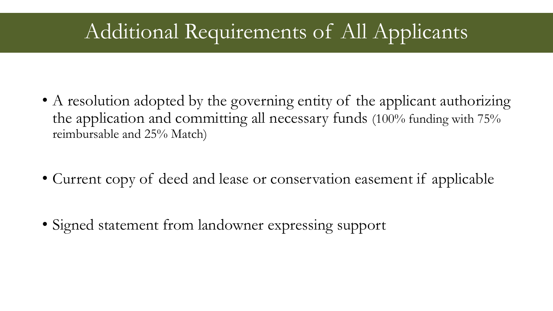# Additional Requirements of All Applicants

- A resolution adopted by the governing entity of the applicant authorizing the application and committing all necessary funds (100% funding with 75% reimbursable and 25% Match)
- Current copy of deed and lease or conservation easement if applicable
- Signed statement from landowner expressing support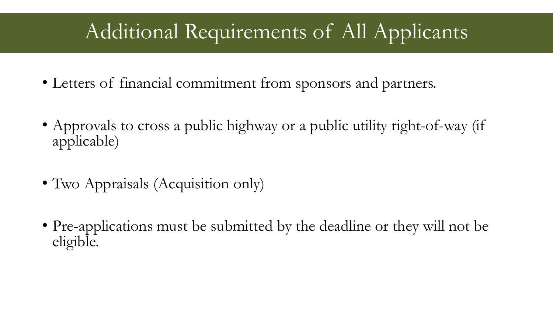# Additional Requirements of All Applicants

- Letters of financial commitment from sponsors and partners.
- Approvals to cross a public highway or a public utility right-of-way (if applicable)
- Two Appraisals (Acquisition only)
- Pre-applications must be submitted by the deadline or they will not be eligible.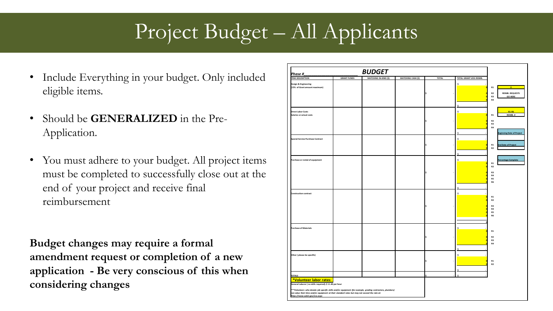# Project Budget – All Applicants

- Include Everything in your budget. Only included eligible items.
- Should be **GENERALIZED** in the Pre-Application.
- You must adhere to your budget. All project items must be completed to successfully close out at the end of your project and receive final reimbursement

**Budget changes may require a formal amendment request or completion of a new application - Be very conscious of this when considering changes**

| Phase #                                                                                                                                                                                                           |                    | <b>BUDGET</b>                |                           |              |                         |                                                                                                |
|-------------------------------------------------------------------------------------------------------------------------------------------------------------------------------------------------------------------|--------------------|------------------------------|---------------------------|--------------|-------------------------|------------------------------------------------------------------------------------------------|
| <b>ITEM DESCRIPTION</b>                                                                                                                                                                                           | <b>GRANT FUNDS</b> | <b>MATCHING IN-KIND (\$)</b> | <b>MATCHING CASH (\$)</b> | <b>TOTAL</b> | TOTAL GRANT LESS REIMB. |                                                                                                |
| <b>Design &amp; Engineering</b><br>(15% of Grant amount maximum)                                                                                                                                                  |                    |                              |                           |              | Ś                       | $\overline{0}$<br>R1<br><b>REIMB. REQUESTS</b><br>R <sub>2</sub><br>R3<br><b>GO HERE</b><br>R4 |
| <b>Direct Labor Costs</b><br>Salaries or actual costs                                                                                                                                                             |                    |                              |                           |              |                         | $R1-R6$<br>REIMB.#<br>R1                                                                       |
|                                                                                                                                                                                                                   |                    |                              |                           |              |                         | R2<br>R3<br>R4                                                                                 |
| <b>Special Service Purchase Contract</b>                                                                                                                                                                          |                    |                              |                           |              |                         | <b>Beginning Date of Project</b><br>R1<br><b>End Date of Project</b>                           |
| Purchase or rental of equipment                                                                                                                                                                                   |                    |                              |                           |              |                         | R <sub>2</sub><br>Percentage Complete                                                          |
|                                                                                                                                                                                                                   |                    |                              |                           |              |                         | R1<br>R2<br>R3                                                                                 |
|                                                                                                                                                                                                                   |                    |                              |                           |              |                         | R4<br>R5<br>R6                                                                                 |
| <b>Construction contract</b>                                                                                                                                                                                      |                    |                              |                           |              | \$.                     | R1<br>R <sub>2</sub>                                                                           |
|                                                                                                                                                                                                                   |                    |                              |                           |              |                         | R3<br>R4<br>R5<br>R6                                                                           |
| <b>Purchase of Materials</b>                                                                                                                                                                                      |                    |                              |                           |              | \$.                     | R1                                                                                             |
|                                                                                                                                                                                                                   |                    |                              |                           |              |                         | R <sub>2</sub><br>R3<br>R4                                                                     |
| Other (please be specific)                                                                                                                                                                                        |                    |                              |                           |              |                         | R1                                                                                             |
|                                                                                                                                                                                                                   |                    |                              |                           |              |                         | R <sub>2</sub>                                                                                 |
| <b>TOTALS</b><br>*Volunteer labor rates:<br>General Laborer (no skills required): \$ 11.40 per hour<br>***Volunteers who donate job specific skills and/or equipment (for example, grading contractors, plumbers) |                    |                              |                           |              |                         |                                                                                                |
| can value their time and/or equipment at their standard rates but may not exceed the rate at:<br>https://www.wdol.gov/sca.aspx                                                                                    |                    |                              |                           |              |                         |                                                                                                |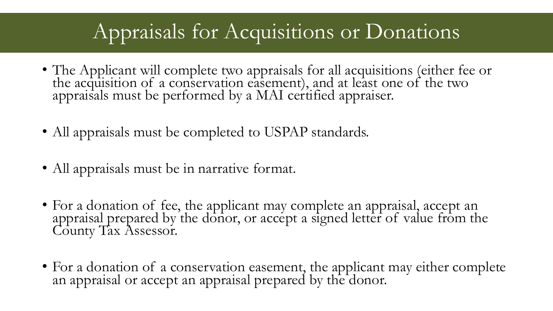# Appraisals for Acquisitions or Donations

- The Applicant will complete two appraisals for all acquisitions (either fee or the acquisition of a conservation easement), and at least one of the two appraisals must be performed by a MAI certified appraiser.
- All appraisals must be completed to USPAP standards.
- All appraisals must be in narrative format.
- For a donation of fee, the applicant may complete an appraisal, accept an appraisal prepared by the donor, or accept a signed letter of value from the County Tax Assessor.
- For a donation of a conservation easement, the applicant may either complete an appraisal or accept an appraisal prepared by the donor.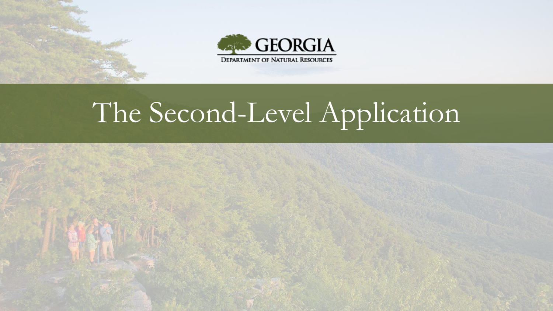



# The Second-Level Application

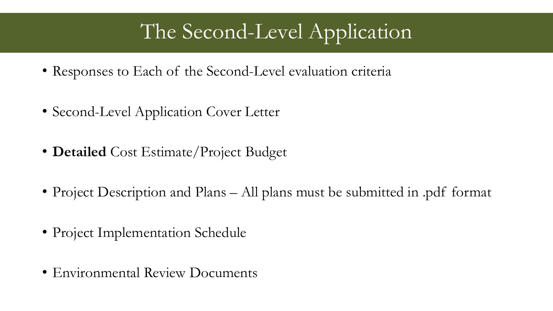# The Second-Level Application

- Responses to Each of the Second-Level evaluation criteria
- Second-Level Application Cover Letter
- **Detailed** Cost Estimate/Project Budget
- Project Description and Plans All plans must be submitted in .pdf format
- Project Implementation Schedule
- Environmental Review Documents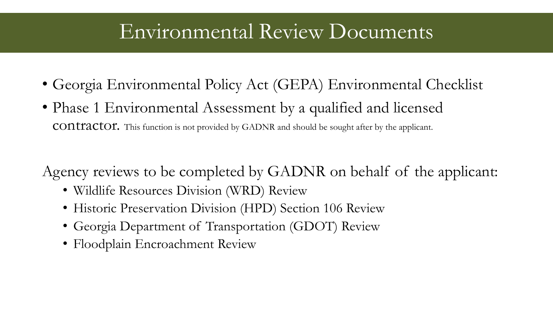## Environmental Review Documents

- Georgia Environmental Policy Act (GEPA) Environmental Checklist
- Phase 1 Environmental Assessment by a qualified and licensed contractor. This function is not provided by GADNR and should be sought after by the applicant.

Agency reviews to be completed by GADNR on behalf of the applicant:

- Wildlife Resources Division (WRD) Review
- Historic Preservation Division (HPD) Section 106 Review
- Georgia Department of Transportation (GDOT) Review
- Floodplain Encroachment Review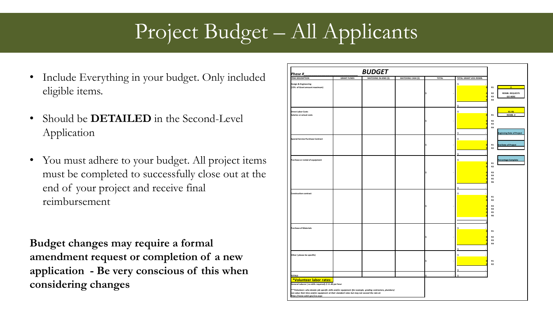# Project Budget – All Applicants

- Include Everything in your budget. Only included eligible items.
- Should be **DETAILED** in the Second-Level Application
- You must adhere to your budget. All project items must be completed to successfully close out at the end of your project and receive final reimbursement

**Budget changes may require a formal amendment request or completion of a new application - Be very conscious of this when considering changes**

| Phase #                                                                                                                                                                                          |                    | <b>BUDGET</b>                |                           |              |                         |                                                                                                |
|--------------------------------------------------------------------------------------------------------------------------------------------------------------------------------------------------|--------------------|------------------------------|---------------------------|--------------|-------------------------|------------------------------------------------------------------------------------------------|
| <b>ITEM DESCRIPTION</b>                                                                                                                                                                          | <b>GRANT FUNDS</b> | <b>MATCHING IN-KIND (\$)</b> | <b>MATCHING CASH (\$)</b> | <b>TOTAL</b> | TOTAL GRANT LESS REIMB. |                                                                                                |
| <b>Design &amp; Engineering</b><br>(15% of Grant amount maximum)                                                                                                                                 |                    |                              |                           |              | Ś                       | $\overline{0}$<br>R1<br><b>REIMB. REQUESTS</b><br>R <sub>2</sub><br>R3<br><b>GO HERE</b><br>R4 |
|                                                                                                                                                                                                  |                    |                              |                           |              |                         |                                                                                                |
| <b>Direct Labor Costs</b><br>Salaries or actual costs                                                                                                                                            |                    |                              |                           |              |                         | $R1-R6$<br>REIMB.#<br>R1<br>R <sub>2</sub>                                                     |
|                                                                                                                                                                                                  |                    |                              |                           |              |                         | R3<br>R4<br><b>Beginning Date of Project</b>                                                   |
| <b>Special Service Purchase Contract</b>                                                                                                                                                         |                    |                              |                           |              | Ś                       | R1<br><b>End Date of Project</b>                                                               |
|                                                                                                                                                                                                  |                    |                              |                           |              |                         | R <sub>2</sub>                                                                                 |
| Purchase or rental of equipment                                                                                                                                                                  |                    |                              |                           |              |                         | Percentage Complete<br>R1<br>R2                                                                |
|                                                                                                                                                                                                  |                    |                              |                           |              |                         | R3<br>R4<br>R5<br>R6                                                                           |
|                                                                                                                                                                                                  |                    |                              |                           |              |                         |                                                                                                |
| <b>Construction contract</b>                                                                                                                                                                     |                    |                              |                           |              | \$.                     | R1<br>R <sub>2</sub>                                                                           |
|                                                                                                                                                                                                  |                    |                              |                           |              |                         | R3<br>R4<br>R5<br>R6                                                                           |
| <b>Purchase of Materials</b>                                                                                                                                                                     |                    |                              |                           |              |                         |                                                                                                |
|                                                                                                                                                                                                  |                    |                              |                           |              |                         | R1<br>R <sub>2</sub><br>R3                                                                     |
|                                                                                                                                                                                                  |                    |                              |                           |              |                         | <b>R4</b>                                                                                      |
| Other (please be specific)                                                                                                                                                                       |                    |                              |                           |              |                         | R1<br>R <sub>2</sub>                                                                           |
| <b>TOTALS</b>                                                                                                                                                                                    |                    |                              |                           |              |                         |                                                                                                |
| *Volunteer labor rates:<br>General Laborer (no skills required): \$ 11.40 per hour<br>***Volunteers who donate job specific skills and/or equipment (for example, grading contractors, plumbers) |                    |                              |                           |              |                         |                                                                                                |
| can value their time and/or equipment at their standard rates but may not exceed the rate at:<br>https://www.wdol.gov/sca.aspx                                                                   |                    |                              |                           |              |                         |                                                                                                |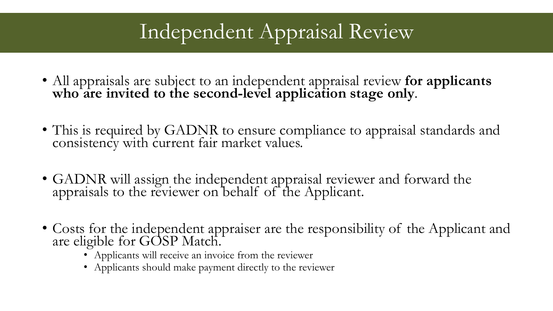# Independent Appraisal Review

- All appraisals are subject to an independent appraisal review **for applicants who are invited to the second-level application stage only**.
- This is required by GADNR to ensure compliance to appraisal standards and consistency with current fair market values.
- GADNR will assign the independent appraisal reviewer and forward the appraisals to the reviewer on behalf of the Applicant.
- Costs for the independent appraiser are the responsibility of the Applicant and are eligible for GOSP Match.
	- Applicants will receive an invoice from the reviewer
	- Applicants should make payment directly to the reviewer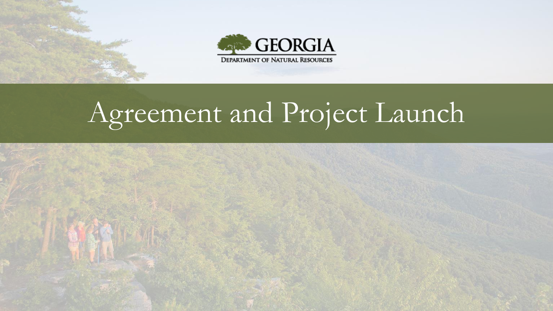



# Agreement and Project Launch

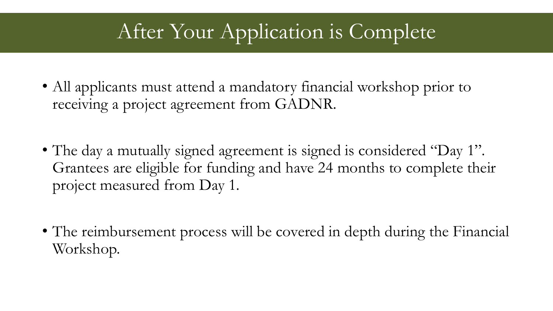#### After Your Application is Complete

- All applicants must attend a mandatory financial workshop prior to receiving a project agreement from GADNR.
- The day a mutually signed agreement is signed is considered "Day 1". Grantees are eligible for funding and have 24 months to complete their project measured from Day 1.
- The reimbursement process will be covered in depth during the Financial Workshop.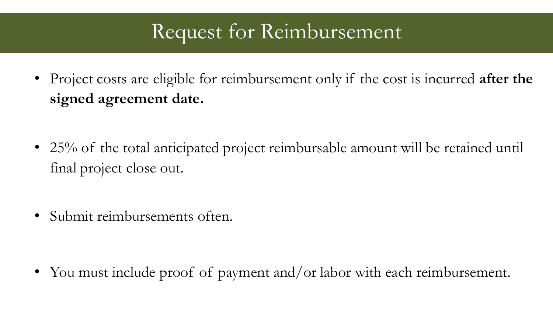#### Request for Reimbursement

• Project costs are eligible for reimbursement only if the cost is incurred **after the signed agreement date.**

- 25% of the total anticipated project reimbursable amount will be retained until final project close out.
- Submit reimbursements often.

• You must include proof of payment and/or labor with each reimbursement.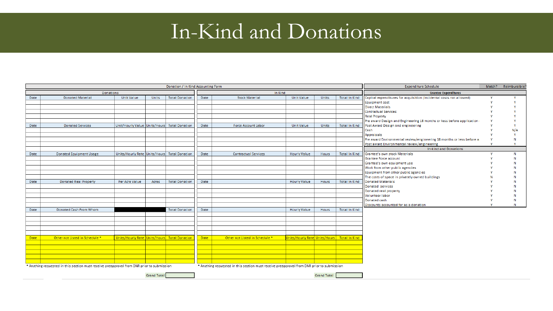#### In-Kind and Donations

|                    |                                                                                            |                                              |              | Donation / In Kind Accounting Form |             |                                                                                            |                               |                    |                      | <b>Expenditure Schedule</b>                                           | Match? | Reimbursible? |  |
|--------------------|--------------------------------------------------------------------------------------------|----------------------------------------------|--------------|------------------------------------|-------------|--------------------------------------------------------------------------------------------|-------------------------------|--------------------|----------------------|-----------------------------------------------------------------------|--------|---------------|--|
| <b>Donations</b>   |                                                                                            |                                              |              |                                    | In Kind     |                                                                                            |                               |                    |                      | <b>Grantee Expenditures</b>                                           |        |               |  |
| Date               | <b>Donated Material</b>                                                                    | <b>Unit Value</b>                            | <b>Units</b> | <b>Total Donation</b>              | Date        | <b>Stock Material</b>                                                                      | <b>Unit Value</b>             | Units              | <b>Total In Kind</b> | Capital expenditures for acquisition (incidental costs not allowed)   |        |               |  |
|                    |                                                                                            |                                              |              |                                    |             |                                                                                            |                               |                    |                      | <b>Equipment cost</b>                                                 |        |               |  |
|                    |                                                                                            |                                              |              |                                    |             |                                                                                            |                               |                    |                      | <b>Direct Materials</b>                                               |        |               |  |
|                    |                                                                                            |                                              |              |                                    |             |                                                                                            |                               |                    |                      | <b>Contractual Services</b>                                           |        |               |  |
|                    |                                                                                            |                                              |              |                                    |             |                                                                                            |                               |                    |                      | <b>Real Property</b>                                                  |        |               |  |
|                    |                                                                                            |                                              |              |                                    |             |                                                                                            |                               |                    |                      | Pre award Design and Engineering 18 months or less before application |        |               |  |
| Date               | <b>Donated Services</b>                                                                    | Unit/Hourly Value Units/Hours Total Donation |              |                                    | Date        | <b>Force Account Labor</b>                                                                 | <b>Unit Value</b>             | <b>Units</b>       | <b>Total In Kind</b> | Post Award Design and engineering                                     |        |               |  |
|                    |                                                                                            |                                              |              |                                    |             |                                                                                            |                               |                    |                      | Cash                                                                  |        | N/A           |  |
|                    |                                                                                            |                                              |              |                                    |             |                                                                                            |                               |                    |                      | Appraisals                                                            |        |               |  |
|                    |                                                                                            |                                              |              |                                    |             |                                                                                            |                               |                    |                      | Pre award Environmental review/engineering 18 months or less before a |        |               |  |
|                    |                                                                                            |                                              |              |                                    |             |                                                                                            |                               |                    |                      | Post award Environmental review/engineering                           |        |               |  |
|                    |                                                                                            |                                              |              |                                    |             |                                                                                            |                               |                    |                      | <b>In-kind and Donations</b>                                          |        |               |  |
| Date               | <b>Donated Equipment Usage</b>                                                             | Units/Hourly Rate Units/Hours Total Donation |              |                                    | Date        | <b>Contractual Services</b>                                                                | <b>Hourly Value</b>           | Hours              | <b>Total In Kind</b> | Grantee's own stock Materials                                         |        | N             |  |
|                    |                                                                                            |                                              |              |                                    |             |                                                                                            |                               |                    |                      | Grantee Force account                                                 |        | N             |  |
|                    |                                                                                            |                                              |              |                                    |             |                                                                                            |                               |                    |                      | Grantee's own equipment use                                           |        |               |  |
|                    |                                                                                            |                                              |              |                                    |             |                                                                                            |                               |                    |                      | Work from other public agencies                                       |        |               |  |
|                    |                                                                                            |                                              |              |                                    |             |                                                                                            |                               |                    |                      | Equipment from other public agencies                                  |        |               |  |
|                    |                                                                                            |                                              |              |                                    |             |                                                                                            |                               |                    |                      | The costs of space in privately owned buildings                       |        |               |  |
| Date               | <b>Donated Real Property</b>                                                               | Per Acre Value                               | Acres        | <b>Total Donation</b>              | Date        |                                                                                            | <b>Hourly Value</b>           | Hours              | <b>Total In Kind</b> | <b>Donated Materials</b>                                              |        |               |  |
|                    |                                                                                            |                                              |              |                                    |             |                                                                                            |                               |                    |                      | Donated services                                                      |        |               |  |
|                    |                                                                                            |                                              |              |                                    |             |                                                                                            |                               |                    |                      | Donated real property                                                 |        |               |  |
|                    |                                                                                            |                                              |              |                                    |             |                                                                                            |                               |                    |                      | <b>Volunteer labor</b>                                                |        |               |  |
|                    |                                                                                            |                                              |              |                                    |             |                                                                                            |                               |                    |                      | Donated cash                                                          |        | N             |  |
|                    |                                                                                            |                                              |              |                                    |             |                                                                                            |                               |                    |                      | Discounts accounted for as a donation                                 |        | N             |  |
| Date               | Donated Cash From Whom                                                                     |                                              |              | <b>Total Donation</b>              | Date        |                                                                                            | <b>Hourly Value</b>           | Hours              | <b>Total In Kind</b> |                                                                       |        |               |  |
|                    |                                                                                            |                                              |              |                                    |             |                                                                                            |                               |                    |                      |                                                                       |        |               |  |
|                    |                                                                                            |                                              |              |                                    |             |                                                                                            |                               |                    |                      |                                                                       |        |               |  |
|                    |                                                                                            |                                              |              |                                    |             |                                                                                            |                               |                    |                      |                                                                       |        |               |  |
|                    |                                                                                            |                                              |              |                                    |             |                                                                                            |                               |                    |                      |                                                                       |        |               |  |
|                    |                                                                                            |                                              |              |                                    |             |                                                                                            |                               |                    |                      |                                                                       |        |               |  |
| Date:              | Other not Listed in Schedule *                                                             | Units/Hourly Rate Units/Hours Total Donation |              |                                    | <b>Date</b> | Other not Listed in Schedule *                                                             | Units/Hourly Rate Units/Hours |                    | Total In Kind        |                                                                       |        |               |  |
|                    |                                                                                            |                                              |              |                                    |             |                                                                                            |                               |                    |                      |                                                                       |        |               |  |
|                    |                                                                                            |                                              |              |                                    |             |                                                                                            |                               |                    |                      |                                                                       |        |               |  |
|                    |                                                                                            |                                              |              |                                    |             |                                                                                            |                               |                    |                      |                                                                       |        |               |  |
|                    |                                                                                            |                                              |              |                                    |             |                                                                                            |                               |                    |                      |                                                                       |        |               |  |
|                    |                                                                                            |                                              |              |                                    |             |                                                                                            |                               |                    |                      |                                                                       |        |               |  |
|                    | * Anything requested in this section must receive preapproval from DNR prior to submission |                                              |              |                                    |             | * Anything requested in this section must receive preapproval from DNR prior to submission |                               |                    |                      |                                                                       |        |               |  |
|                    |                                                                                            |                                              |              |                                    |             |                                                                                            |                               |                    |                      |                                                                       |        |               |  |
| <b>Grand Total</b> |                                                                                            |                                              |              |                                    |             |                                                                                            |                               | <b>Grand Total</b> |                      |                                                                       |        |               |  |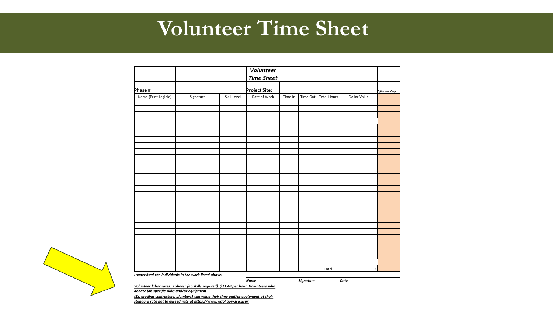#### **Volunteer Time Sheet**

|                                                        |                                                                                       |             | <b>Volunteer</b>  |         |                  |                    |              |                        |
|--------------------------------------------------------|---------------------------------------------------------------------------------------|-------------|-------------------|---------|------------------|--------------------|--------------|------------------------|
|                                                        |                                                                                       |             | <b>Time Sheet</b> |         |                  |                    |              |                        |
| Phase #                                                |                                                                                       |             | Project Site:     |         |                  |                    |              | <b>Office Use Only</b> |
| Name (Print Legible)                                   | Signature                                                                             | Skill Level | Date of Work      | Time In | Time Out         | <b>Total Hours</b> | Dollar Value |                        |
|                                                        |                                                                                       |             |                   |         |                  |                    |              |                        |
|                                                        |                                                                                       |             |                   |         |                  |                    |              |                        |
|                                                        |                                                                                       |             |                   |         |                  |                    |              |                        |
|                                                        |                                                                                       |             |                   |         |                  |                    |              |                        |
|                                                        |                                                                                       |             |                   |         |                  |                    |              |                        |
|                                                        |                                                                                       |             |                   |         |                  |                    |              |                        |
|                                                        |                                                                                       |             |                   |         |                  |                    |              |                        |
|                                                        |                                                                                       |             |                   |         |                  |                    |              |                        |
|                                                        |                                                                                       |             |                   |         |                  |                    |              |                        |
|                                                        |                                                                                       |             |                   |         |                  |                    |              |                        |
|                                                        |                                                                                       |             |                   |         |                  |                    |              |                        |
|                                                        |                                                                                       |             |                   |         |                  |                    |              |                        |
|                                                        |                                                                                       |             |                   |         |                  |                    |              |                        |
|                                                        |                                                                                       |             |                   |         |                  |                    |              |                        |
|                                                        |                                                                                       |             |                   |         |                  |                    |              |                        |
|                                                        |                                                                                       |             |                   |         |                  |                    |              |                        |
|                                                        |                                                                                       |             |                   |         |                  |                    |              |                        |
|                                                        |                                                                                       |             |                   |         |                  |                    |              |                        |
|                                                        |                                                                                       |             |                   |         |                  |                    |              |                        |
|                                                        |                                                                                       |             |                   |         |                  |                    |              |                        |
|                                                        |                                                                                       |             |                   |         |                  |                    |              |                        |
|                                                        |                                                                                       |             |                   |         |                  |                    |              |                        |
|                                                        |                                                                                       |             |                   |         |                  |                    |              |                        |
|                                                        |                                                                                       |             |                   |         |                  |                    |              |                        |
|                                                        |                                                                                       |             |                   |         |                  |                    |              |                        |
|                                                        |                                                                                       |             |                   |         |                  |                    |              |                        |
|                                                        |                                                                                       |             |                   |         |                  |                    |              |                        |
|                                                        |                                                                                       |             |                   |         |                  | Total:             | $\Omega$     |                        |
| I supervised the individuals in the work listed above: |                                                                                       |             |                   |         |                  |                    |              |                        |
|                                                        | Volunteer labor rates: Laborer (no skills required): \$11.40 per hour. Volunteers who |             | <b>Name</b>       |         | <b>Signature</b> |                    | Date         |                        |



*donate job specific skills and/or equipment (Ex. grading contractors, plumbers) can value their time and/or equipment at their standard rate not to exceed rate at https://www.wdol.gov/sca.aspx*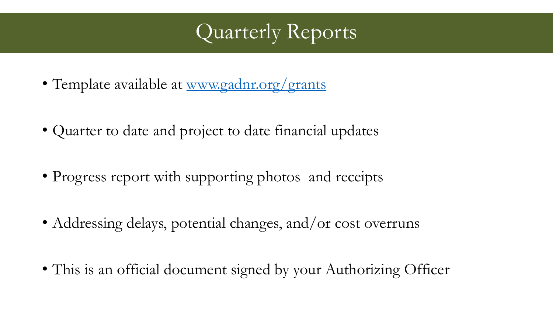#### Quarterly Reports

- Template available at [www.gadnr.org/grants](http://www.gadnr.org/grants)
- Quarter to date and project to date financial updates
- Progress report with supporting photos and receipts
- Addressing delays, potential changes, and/or cost overruns
- This is an official document signed by your Authorizing Officer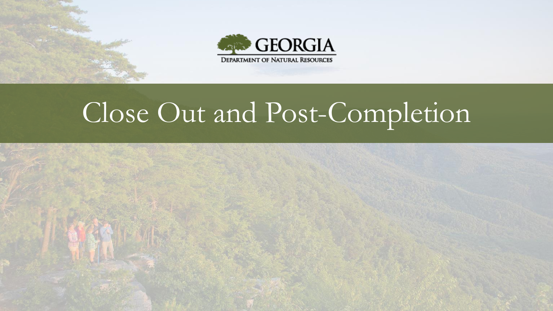



# Close Out and Post-Completion

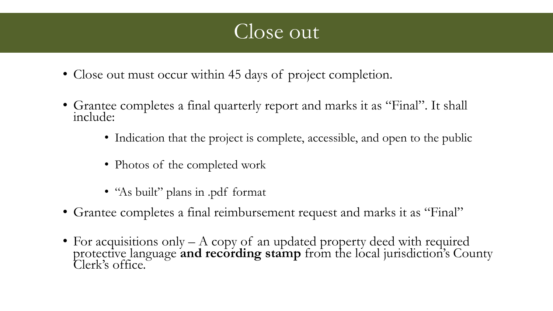#### Close out

- Close out must occur within 45 days of project completion.
- Grantee completes a final quarterly report and marks it as "Final". It shall include:
	- Indication that the project is complete, accessible, and open to the public
	- Photos of the completed work
	- "As built" plans in .pdf format
- Grantee completes a final reimbursement request and marks it as "Final"
- For acquisitions only A copy of an updated property deed with required protective language and recording stamp from the local jurisdiction's County Clerk's office.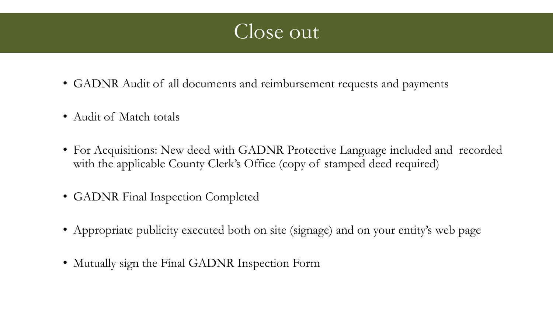

- GADNR Audit of all documents and reimbursement requests and payments
- Audit of Match totals
- For Acquisitions: New deed with GADNR Protective Language included and recorded with the applicable County Clerk's Office (copy of stamped deed required)
- GADNR Final Inspection Completed
- Appropriate publicity executed both on site (signage) and on your entity's web page
- Mutually sign the Final GADNR Inspection Form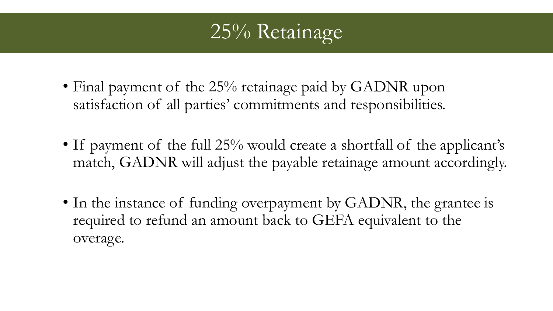

- Final payment of the 25% retainage paid by GADNR upon satisfaction of all parties' commitments and responsibilities.
- If payment of the full 25% would create a shortfall of the applicant's match, GADNR will adjust the payable retainage amount accordingly.
- In the instance of funding overpayment by GADNR, the grantee is required to refund an amount back to GEFA equivalent to the overage.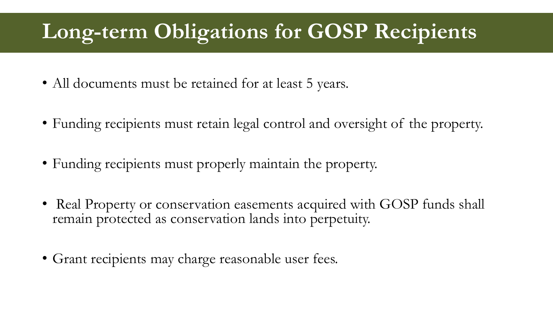#### **Long-term Obligations for GOSP Recipients**

- All documents must be retained for at least 5 years.
- Funding recipients must retain legal control and oversight of the property.
- Funding recipients must properly maintain the property.
- Real Property or conservation easements acquired with GOSP funds shall remain protected as conservation lands into perpetuity.
- Grant recipients may charge reasonable user fees.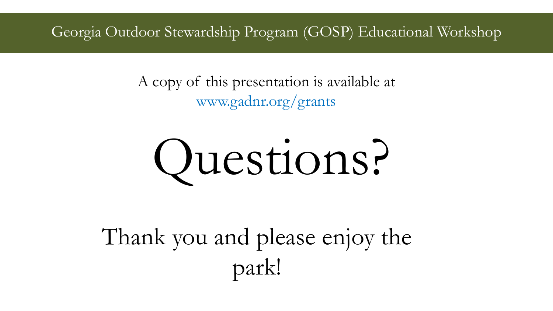Georgia Outdoor Stewardship Program (GOSP) Educational Workshop

A copy of this presentation is available at www.gadnr.org/grants



Thank you and please enjoy the park!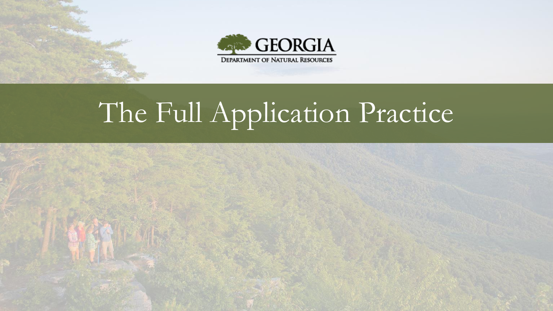



# The Full Application Practice

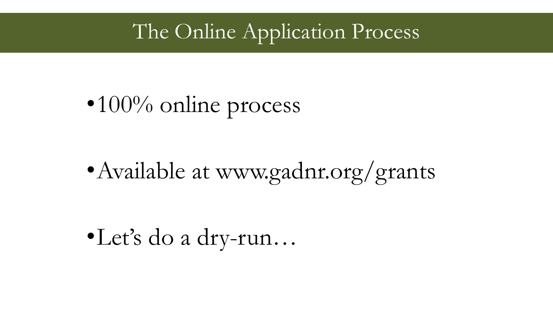#### The Online Application Process

## $\bullet 100\%$  online process

### • Available at www.gadnr.org/grants

•Let's do a dry-run…